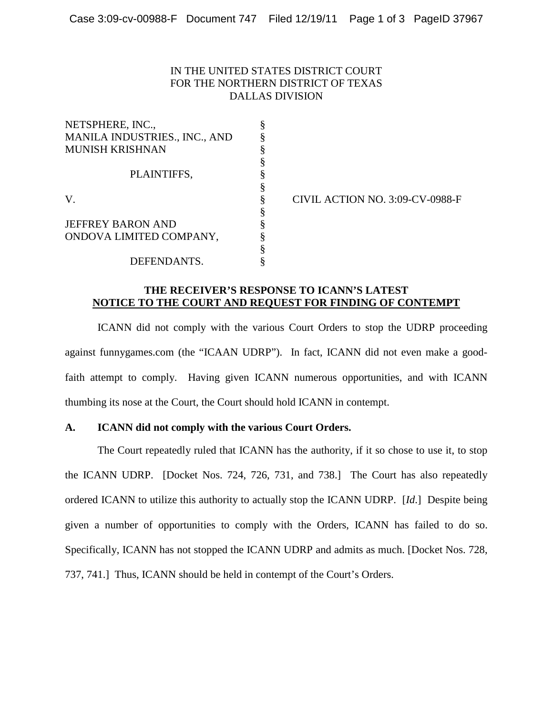# IN THE UNITED STATES DISTRICT COURT FOR THE NORTHERN DISTRICT OF TEXAS DALLAS DIVISION

| NETSPHERE, INC.,              |   |
|-------------------------------|---|
| MANILA INDUSTRIES., INC., AND |   |
| <b>MUNISH KRISHNAN</b>        |   |
|                               |   |
| PLAINTIFFS,                   |   |
|                               |   |
| V.                            | § |
|                               | § |
| <b>JEFFREY BARON AND</b>      | ş |
| ONDOVA LIMITED COMPANY,       |   |
|                               |   |
| DEFENDANTS.                   |   |

§ CIVIL ACTION NO. 3:09-CV-0988-F

# **THE RECEIVER'S RESPONSE TO ICANN'S LATEST NOTICE TO THE COURT AND REQUEST FOR FINDING OF CONTEMPT**

ICANN did not comply with the various Court Orders to stop the UDRP proceeding against funnygames.com (the "ICAAN UDRP"). In fact, ICANN did not even make a goodfaith attempt to comply. Having given ICANN numerous opportunities, and with ICANN thumbing its nose at the Court, the Court should hold ICANN in contempt.

# **A. ICANN did not comply with the various Court Orders.**

The Court repeatedly ruled that ICANN has the authority, if it so chose to use it, to stop the ICANN UDRP. [Docket Nos. 724, 726, 731, and 738.] The Court has also repeatedly ordered ICANN to utilize this authority to actually stop the ICANN UDRP. [*Id*.] Despite being given a number of opportunities to comply with the Orders, ICANN has failed to do so. Specifically, ICANN has not stopped the ICANN UDRP and admits as much. [Docket Nos. 728, 737, 741.] Thus, ICANN should be held in contempt of the Court's Orders.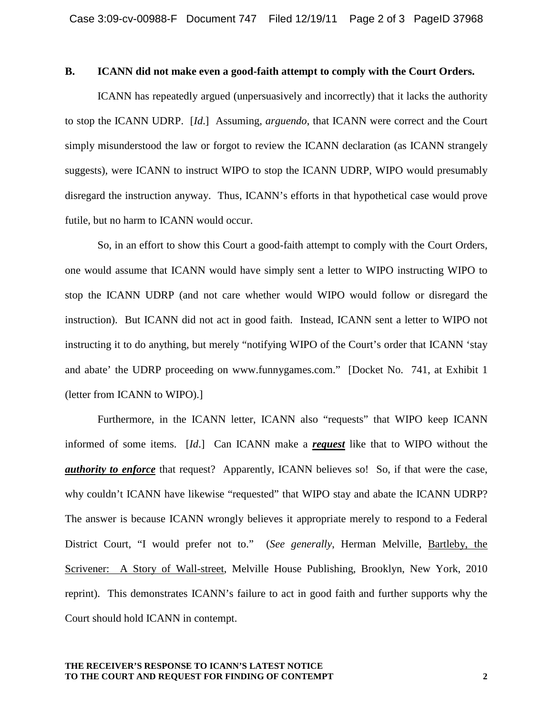#### **B. ICANN did not make even a good-faith attempt to comply with the Court Orders.**

ICANN has repeatedly argued (unpersuasively and incorrectly) that it lacks the authority to stop the ICANN UDRP. [*Id*.] Assuming, *arguendo*, that ICANN were correct and the Court simply misunderstood the law or forgot to review the ICANN declaration (as ICANN strangely suggests), were ICANN to instruct WIPO to stop the ICANN UDRP, WIPO would presumably disregard the instruction anyway. Thus, ICANN's efforts in that hypothetical case would prove futile, but no harm to ICANN would occur.

So, in an effort to show this Court a good-faith attempt to comply with the Court Orders, one would assume that ICANN would have simply sent a letter to WIPO instructing WIPO to stop the ICANN UDRP (and not care whether would WIPO would follow or disregard the instruction). But ICANN did not act in good faith. Instead, ICANN sent a letter to WIPO not instructing it to do anything, but merely "notifying WIPO of the Court's order that ICANN 'stay and abate' the UDRP proceeding on www.funnygames.com." [Docket No. 741, at Exhibit 1 (letter from ICANN to WIPO).]

Furthermore, in the ICANN letter, ICANN also "requests" that WIPO keep ICANN informed of some items. [*Id*.] Can ICANN make a *request* like that to WIPO without the *authority to enforce* that request? Apparently, ICANN believes so! So, if that were the case, why couldn't ICANN have likewise "requested" that WIPO stay and abate the ICANN UDRP? The answer is because ICANN wrongly believes it appropriate merely to respond to a Federal District Court, "I would prefer not to." (*See generally*, Herman Melville, Bartleby, the Scrivener: A Story of Wall-street, Melville House Publishing, Brooklyn, New York, 2010 reprint). This demonstrates ICANN's failure to act in good faith and further supports why the Court should hold ICANN in contempt.